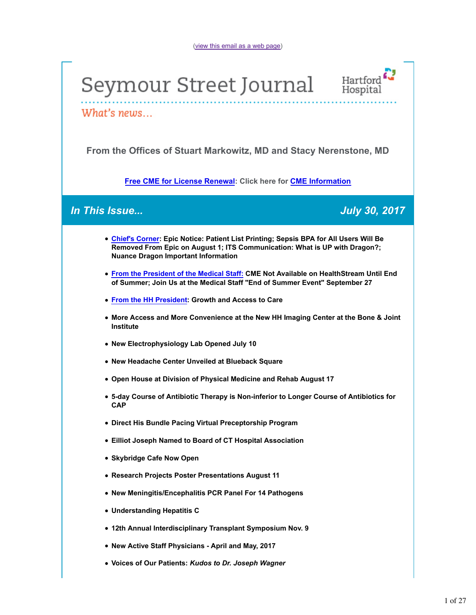(view this email as a web page)

# Seymour Street Journal



What's news...

**From the Offices of Stuart Markowitz, MD and Stacy Nerenstone, MD**

**Free CME for License Renewal: Click here for CME Information**

## *In This Issue... July 30, 2017*

- **Chief's Corner: Epic Notice: Patient List Printing; Sepsis BPA for All Users Will Be Removed From Epic on August 1; ITS Communication: What is UP with Dragon?; Nuance Dragon Important Information**
- **From the President of the Medical Staff: CME Not Available on HealthStream Until End of Summer; Join Us at the Medical Staff "End of Summer Event" September 27**
- **From the HH President: Growth and Access to Care**
- **More Access and More Convenience at the New HH Imaging Center at the Bone & Joint Institute**
- **New Electrophysiology Lab Opened July 10**
- **New Headache Center Unveiled at Blueback Square**
- **Open House at Division of Physical Medicine and Rehab August 17**
- **5-day Course of Antibiotic Therapy is Non-inferior to Longer Course of Antibiotics for CAP**
- **Direct His Bundle Pacing Virtual Preceptorship Program**
- **Eilliot Joseph Named to Board of CT Hospital Association**
- **Skybridge Cafe Now Open**
- **Research Projects Poster Presentations August 11**
- **New Meningitis/Encephalitis PCR Panel For 14 Pathogens**
- **Understanding Hepatitis C**
- **12th Annual Interdisciplinary Transplant Symposium Nov. 9**
- **New Active Staff Physicians April and May, 2017**
- **Voices of Our Patients:** *Kudos to Dr. Joseph Wagner*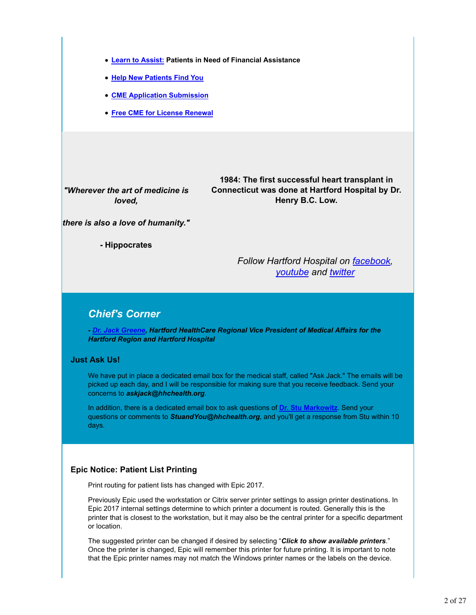- **Learn to Assist: Patients in Need of Financial Assistance**
- **Help New Patients Find You**
- **CME Application Submission**
- **Free CME for License Renewal**

*"Wherever the art of medicine is loved,*

**1984: The first successful heart transplant in Connecticut was done at Hartford Hospital by Dr. Henry B.C. Low.**

*there is also a love of humanity."*

**- Hippocrates**

*Follow Hartford Hospital on facebook, youtube and twitter*

## *Chief's Corner*

*- Dr. Jack Greene, Hartford HealthCare Regional Vice President of Medical Affairs for the Hartford Region and Hartford Hospital*

#### **Just Ask Us!**

We have put in place a dedicated email box for the medical staff, called "Ask Jack." The emails will be picked up each day, and I will be responsible for making sure that you receive feedback. Send your concerns to *askjack@hhchealth.org*.

In addition, there is a dedicated email box to ask questions of **Dr. Stu Markowitz**. Send your questions or comments to *StuandYou@hhchealth.org*, and you'll get a response from Stu within 10 days.

#### **Epic Notice: Patient List Printing**

Print routing for patient lists has changed with Epic 2017.

Previously Epic used the workstation or Citrix server printer settings to assign printer destinations. In Epic 2017 internal settings determine to which printer a document is routed. Generally this is the printer that is closest to the workstation, but it may also be the central printer for a specific department or location.

The suggested printer can be changed if desired by selecting "*Click to show available printers*." Once the printer is changed, Epic will remember this printer for future printing. It is important to note that the Epic printer names may not match the Windows printer names or the labels on the device.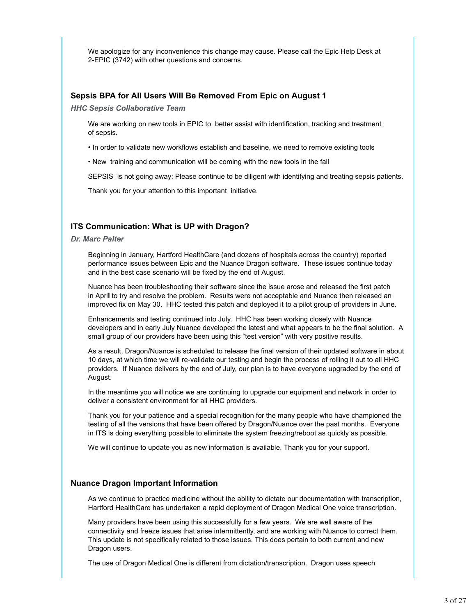We apologize for any inconvenience this change may cause. Please call the Epic Help Desk at 2-EPIC (3742) with other questions and concerns.

#### **Sepsis BPA for All Users Will Be Removed From Epic on August 1**

*HHC Sepsis Collaborative Team*

We are working on new tools in EPIC to better assist with identification, tracking and treatment of sepsis.

- In order to validate new workflows establish and baseline, we need to remove existing tools
- New training and communication will be coming with the new tools in the fall

SEPSIS is not going away: Please continue to be diligent with identifying and treating sepsis patients.

Thank you for your attention to this important initiative.

#### **ITS Communication: What is UP with Dragon?**

#### *Dr. Marc Palter*

Beginning in January, Hartford HealthCare (and dozens of hospitals across the country) reported performance issues between Epic and the Nuance Dragon software. These issues continue today and in the best case scenario will be fixed by the end of August.

Nuance has been troubleshooting their software since the issue arose and released the first patch in Apri**l** to try and resolve the problem. Results were not acceptable and Nuance then released an improved fix on May 30. HHC tested this patch and deployed it to a pilot group of providers in June.

Enhancements and testing continued into July. HHC has been working closely with Nuance developers and in early July Nuance developed the latest and what appears to be the final solution. A small group of our providers have been using this "test version" with very positive results.

As a result, Dragon/Nuance is scheduled to release the final version of their updated software in about 10 days, at which time we will re-validate our testing and begin the process of rolling it out to all HHC providers. If Nuance delivers by the end of July, our plan is to have everyone upgraded by the end of August.

In the meantime you will notice we are continuing to upgrade our equipment and network in order to deliver a consistent environment for all HHC providers.

Thank you for your patience and a special recognition for the many people who have championed the testing of all the versions that have been offered by Dragon/Nuance over the past months. Everyone in ITS is doing everything possible to eliminate the system freezing/reboot as quickly as possible.

We will continue to update you as new information is available. Thank you for your support.

#### **Nuance Dragon Important Information**

As we continue to practice medicine without the ability to dictate our documentation with transcription, Hartford HealthCare has undertaken a rapid deployment of Dragon Medical One voice transcription.

Many providers have been using this successfully for a few years. We are well aware of the connectivity and freeze issues that arise intermittently, and are working with Nuance to correct them. This update is not specifically related to those issues. This does pertain to both current and new Dragon users.

The use of Dragon Medical One is different from dictation/transcription. Dragon uses speech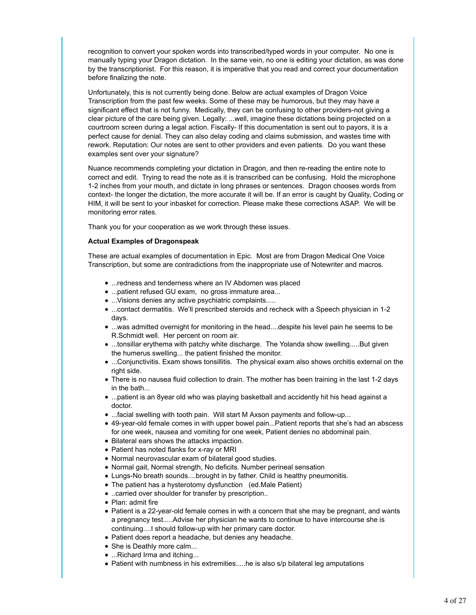recognition to convert your spoken words into transcribed/typed words in your computer. No one is manually typing your Dragon dictation. In the same vein, no one is editing your dictation, as was done by the transcriptionist. For this reason, it is imperative that you read and correct your documentation before finalizing the note.

Unfortunately, this is not currently being done. Below are actual examples of Dragon Voice Transcription from the past few weeks. Some of these may be humorous, but they may have a significant effect that is not funny. Medically, they can be confusing to other providers-not giving a clear picture of the care being given. Legally: ...well, imagine these dictations being projected on a courtroom screen during a legal action. Fiscally- If this documentation is sent out to payors, it is a perfect cause for denial. They can also delay coding and claims submission, and wastes time with rework. Reputation: Our notes are sent to other providers and even patients. Do you want these examples sent over your signature?

Nuance recommends completing your dictation in Dragon, and then re-reading the entire note to correct and edit. Trying to read the note as it is transcribed can be confusing. Hold the microphone 1-2 inches from your mouth, and dictate in long phrases or sentences. Dragon chooses words from context- the longer the dictation, the more accurate it will be. If an error is caught by Quality, Coding or HIM, it will be sent to your inbasket for correction. Please make these corrections ASAP. We will be monitoring error rates.

Thank you for your cooperation as we work through these issues.

#### **Actual Examples of Dragonspeak**

These are actual examples of documentation in Epic. Most are from Dragon Medical One Voice Transcription, but some are contradictions from the inappropriate use of Notewriter and macros.

- ...redness and tenderness where an IV Abdomen was placed
- ...patient refused GU exam, no gross immature area...
- ...Visions denies any active psychiatric complaints.....
- ...contact dermatitis. We'll prescribed steroids and recheck with a Speech physician in 1-2 days.
- ...was admitted overnight for monitoring in the head....despite his level pain he seems to be R.Schmidt well. Her percent on room air.
- ...tonsillar erythema with patchy white discharge. The Yolanda show swelling.....But given the humerus swelling... the patient finished the monitor.
- ...Conjunctivitis. Exam shows tonsillitis. The physical exam also shows orchitis external on the right side.
- There is no nausea fluid collection to drain. The mother has been training in the last 1-2 days in the bath...
- ...patient is an 8year old who was playing basketball and accidently hit his head against a doctor.
- ...facial swelling with tooth pain. Will start M Axson payments and follow-up...
- 49-year-old female comes in with upper bowel pain...Patient reports that she's had an abscess for one week, nausea and vomiting for one week, Patient denies no abdominal pain.
- Bilateral ears shows the attacks impaction.
- Patient has noted flanks for x-ray or MRI
- Normal neurovascular exam of bilateral good studies.
- Normal gait, Normal strength, No deficits. Number perineal sensation
- Lungs-No breath sounds....brought in by father. Child is healthy pneumonitis.
- The patient has a hysterotomy dysfunction (ed.Male Patient)
- ..carried over shoulder for transfer by prescription..
- Plan: admit fire
- Patient is a 22-year-old female comes in with a concern that she may be pregnant, and wants a pregnancy test.....Advise her physician he wants to continue to have intercourse she is continuing....I should follow-up with her primary care doctor.
- Patient does report a headache, but denies any headache.
- She is Deathly more calm...
- ...Richard Irma and itching...
- Patient with numbness in his extremities.....he is also s/p bilateral leg amputations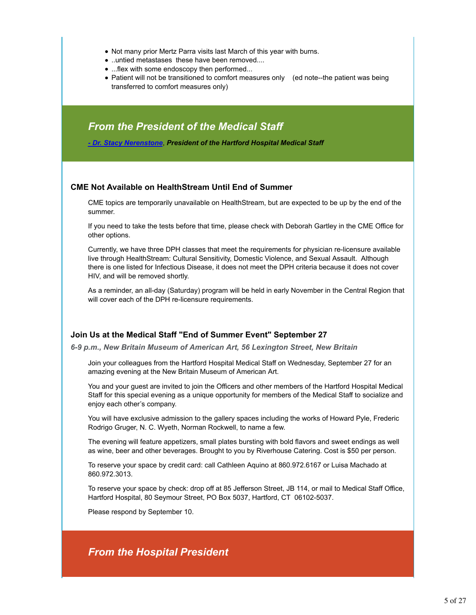- Not many prior Mertz Parra visits last March of this year with burns.
- ..untied metastases these have been removed....
- ...flex with some endoscopy then performed...
- Patient will not be transitioned to comfort measures only (ed note--the patient was being transferred to comfort measures only)

## *From the President of the Medical Staff*

*- Dr. Stacy Nerenstone*, *President of the Hartford Hospital Medical Staff*

#### **CME Not Available on HealthStream Until End of Summer**

CME topics are temporarily unavailable on HealthStream, but are expected to be up by the end of the summer.

If you need to take the tests before that time, please check with Deborah Gartley in the CME Office for other options.

Currently, we have three DPH classes that meet the requirements for physician re-licensure available live through HealthStream: Cultural Sensitivity, Domestic Violence, and Sexual Assault. Although there is one listed for Infectious Disease, it does not meet the DPH criteria because it does not cover HIV, and will be removed shortly.

As a reminder, an all-day (Saturday) program will be held in early November in the Central Region that will cover each of the DPH re-licensure requirements.

#### **Join Us at the Medical Staff "End of Summer Event" September 27**

*6-9 p.m., New Britain Museum of American Art, 56 Lexington Street, New Britain*

Join your colleagues from the Hartford Hospital Medical Staff on Wednesday, September 27 for an amazing evening at the New Britain Museum of American Art.

You and your guest are invited to join the Officers and other members of the Hartford Hospital Medical Staff for this special evening as a unique opportunity for members of the Medical Staff to socialize and enjoy each other's company.

You will have exclusive admission to the gallery spaces including the works of Howard Pyle, Frederic Rodrigo Gruger, N. C. Wyeth, Norman Rockwell, to name a few.

The evening will feature appetizers, small plates bursting with bold flavors and sweet endings as well as wine, beer and other beverages. Brought to you by Riverhouse Catering. Cost is \$50 per person.

To reserve your space by credit card: call Cathleen Aquino at 860.972.6167 or Luisa Machado at 860.972.3013.

To reserve your space by check: drop off at 85 Jefferson Street, JB 114, or mail to Medical Staff Office, Hartford Hospital, 80 Seymour Street, PO Box 5037, Hartford, CT 06102-5037.

Please respond by September 10.

## *From the Hospital President*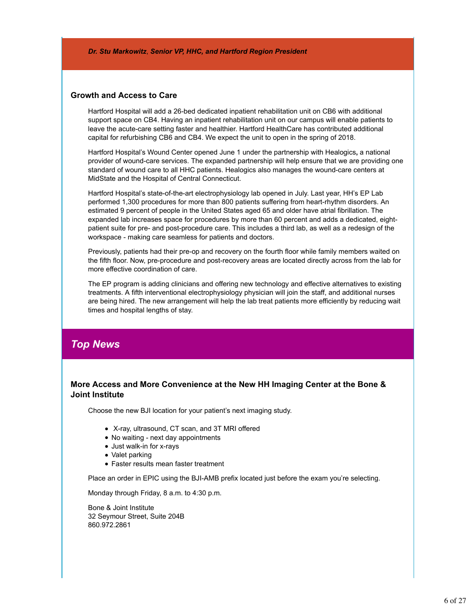*Dr. Stu Markowitz*, *Senior VP, HHC, and Hartford Region President*

#### **Growth and Access to Care**

Hartford Hospital will add a 26-bed dedicated inpatient rehabilitation unit on CB6 with additional support space on CB4. Having an inpatient rehabilitation unit on our campus will enable patients to leave the acute-care setting faster and healthier. Hartford HealthCare has contributed additional capital for refurbishing CB6 and CB4. We expect the unit to open in the spring of 2018.

Hartford Hospital's Wound Center opened June 1 under the partnership with Healogics**,** a national provider of wound-care services. The expanded partnership will help ensure that we are providing one standard of wound care to all HHC patients. Healogics also manages the wound-care centers at MidState and the Hospital of Central Connecticut.

Hartford Hospital's state-of-the-art electrophysiology lab opened in July. Last year, HH's EP Lab performed 1,300 procedures for more than 800 patients suffering from heart-rhythm disorders. An estimated 9 percent of people in the United States aged 65 and older have atrial fibrillation. The expanded lab increases space for procedures by more than 60 percent and adds a dedicated, eightpatient suite for pre- and post-procedure care. This includes a third lab, as well as a redesign of the workspace - making care seamless for patients and doctors.

Previously, patients had their pre-op and recovery on the fourth floor while family members waited on the fifth floor. Now, pre-procedure and post-recovery areas are located directly across from the lab for more effective coordination of care.

The EP program is adding clinicians and offering new technology and effective alternatives to existing treatments. A fifth interventional electrophysiology physician will join the staff, and additional nurses are being hired. The new arrangement will help the lab treat patients more efficiently by reducing wait times and hospital lengths of stay.

## *Top News*

#### **More Access and More Convenience at the New HH Imaging Center at the Bone & Joint Institute**

Choose the new BJI location for your patient's next imaging study.

- X-ray, ultrasound, CT scan, and 3T MRI offered
- No waiting next day appointments
- Just walk-in for x-rays
- Valet parking
- Faster results mean faster treatment

Place an order in EPIC using the BJI-AMB prefix located just before the exam you're selecting.

Monday through Friday, 8 a.m. to 4:30 p.m.

Bone & Joint Institute 32 Seymour Street, Suite 204B 860.972.2861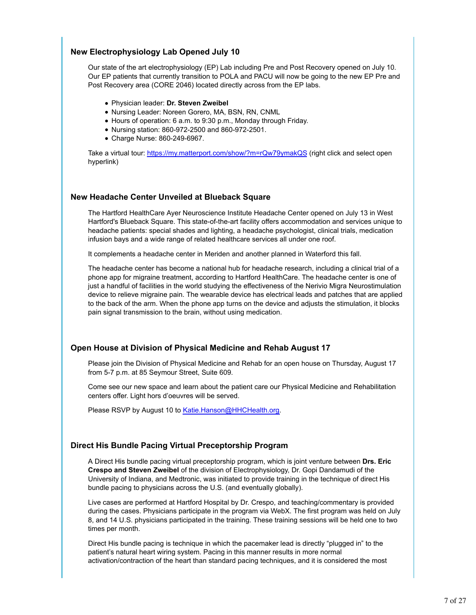#### **New Electrophysiology Lab Opened July 10**

Our state of the art electrophysiology (EP) Lab including Pre and Post Recovery opened on July 10. Our EP patients that currently transition to POLA and PACU will now be going to the new EP Pre and Post Recovery area (CORE 2046) located directly across from the EP labs.

- Physician leader: **Dr. Steven Zweibel**
- Nursing Leader: Noreen Gorero, MA, BSN, RN, CNML
- Hours of operation: 6 a.m. to 9:30 p.m., Monday through Friday.
- Nursing station: 860-972-2500 and 860-972-2501.
- Charge Nurse: 860-249-6967.

Take a virtual tour: https://my.matterport.com/show/?m=rQw79ymakQS (right click and select open hyperlink)

#### **New Headache Center Unveiled at Blueback Square**

The Hartford HealthCare Ayer Neuroscience Institute Headache Center opened on July 13 in West Hartford's Blueback Square. This state-of-the-art facility offers accommodation and services unique to headache patients: special shades and lighting, a headache psychologist, clinical trials, medication infusion bays and a wide range of related healthcare services all under one roof.

It complements a headache center in Meriden and another planned in Waterford this fall.

The headache center has become a national hub for headache research, including a clinical trial of a phone app for migraine treatment, according to Hartford HealthCare. The headache center is one of just a handful of facilities in the world studying the effectiveness of the Nerivio Migra Neurostimulation device to relieve migraine pain. The wearable device has electrical leads and patches that are applied to the back of the arm. When the phone app turns on the device and adjusts the stimulation, it blocks pain signal transmission to the brain, without using medication.

#### **Open House at Division of Physical Medicine and Rehab August 17**

Please join the Division of Physical Medicine and Rehab for an open house on Thursday, August 17 from 5-7 p.m. at 85 Seymour Street, Suite 609.

Come see our new space and learn about the patient care our Physical Medicine and Rehabilitation centers offer. Light hors d'oeuvres will be served.

Please RSVP by August 10 to Katie.Hanson@HHCHealth.org.

#### **Direct His Bundle Pacing Virtual Preceptorship Program**

A Direct His bundle pacing virtual preceptorship program, which is joint venture between **Drs. Eric Crespo and Steven Zweibel** of the division of Electrophysiology, Dr. Gopi Dandamudi of the University of Indiana, and Medtronic, was initiated to provide training in the technique of direct His bundle pacing to physicians across the U.S. (and eventually globally).

Live cases are performed at Hartford Hospital by Dr. Crespo, and teaching/commentary is provided during the cases. Physicians participate in the program via WebX. The first program was held on July 8, and 14 U.S. physicians participated in the training. These training sessions will be held one to two times per month.

Direct His bundle pacing is technique in which the pacemaker lead is directly "plugged in" to the patient's natural heart wiring system. Pacing in this manner results in more normal activation/contraction of the heart than standard pacing techniques, and it is considered the most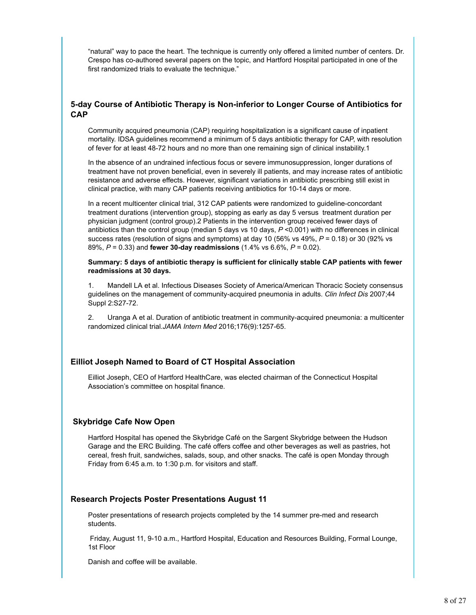"natural" way to pace the heart. The technique is currently only offered a limited number of centers. Dr. Crespo has co-authored several papers on the topic, and Hartford Hospital participated in one of the first randomized trials to evaluate the technique."

#### **5-day Course of Antibiotic Therapy is Non-inferior to Longer Course of Antibiotics for CAP**

Community acquired pneumonia (CAP) requiring hospitalization is a significant cause of inpatient mortality. IDSA guidelines recommend a minimum of 5 days antibiotic therapy for CAP, with resolution of fever for at least 48-72 hours and no more than one remaining sign of clinical instability.1

In the absence of an undrained infectious focus or severe immunosuppression, longer durations of treatment have not proven beneficial, even in severely ill patients, and may increase rates of antibiotic resistance and adverse effects. However, significant variations in antibiotic prescribing still exist in clinical practice, with many CAP patients receiving antibiotics for 10-14 days or more.

In a recent multicenter clinical trial, 312 CAP patients were randomized to guideline-concordant treatment durations (intervention group), stopping as early as day 5 versus treatment duration per physician judgment (control group).2 Patients in the intervention group received fewer days of antibiotics than the control group (median 5 days vs 10 days, *P* <0.001) with no differences in clinical success rates (resolution of signs and symptoms) at day 10 (56% vs 49%, *P* = 0.18) or 30 (92% vs 89%, *P* = 0.33) and **fewer 30-day readmissions** (1.4% vs 6.6%, *P* = 0.02).

**Summary: 5 days of antibiotic therapy is sufficient for clinically stable CAP patients with fewer readmissions at 30 days.**

1. Mandell LA et al. Infectious Diseases Society of America/American Thoracic Society consensus guidelines on the management of community-acquired pneumonia in adults. *Clin Infect Dis* 2007;44 Suppl 2:S27-72.

2. Uranga A et al. Duration of antibiotic treatment in community-acquired pneumonia: a multicenter randomized clinical trial.*JAMA Intern Med* 2016;176(9):1257-65.

#### **Eilliot Joseph Named to Board of CT Hospital Association**

Eilliot Joseph, CEO of Hartford HealthCare, was elected chairman of the Connecticut Hospital Association's committee on hospital finance.

#### **Skybridge Cafe Now Open**

Hartford Hospital has opened the Skybridge Café on the Sargent Skybridge between the Hudson Garage and the ERC Building. The café offers coffee and other beverages as well as pastries, hot cereal, fresh fruit, sandwiches, salads, soup, and other snacks. The café is open Monday through Friday from 6:45 a.m. to 1:30 p.m. for visitors and staff.

#### **Research Projects Poster Presentations August 11**

Poster presentations of research projects completed by the 14 summer pre-med and research students.

 Friday, August 11, 9-10 a.m., Hartford Hospital, Education and Resources Building, Formal Lounge, 1st Floor

Danish and coffee will be available.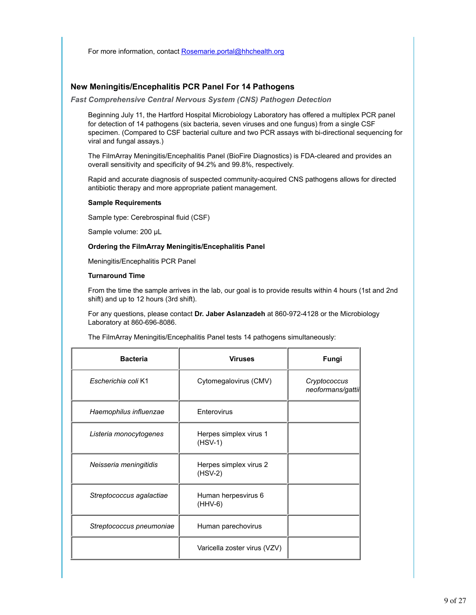For more information, contact Rosemarie.portal@hhchealth.org

#### **New Meningitis/Encephalitis PCR Panel For 14 Pathogens**

*Fast Comprehensive Central Nervous System (CNS) Pathogen Detection*

Beginning July 11, the Hartford Hospital Microbiology Laboratory has offered a multiplex PCR panel for detection of 14 pathogens (six bacteria, seven viruses and one fungus) from a single CSF specimen. (Compared to CSF bacterial culture and two PCR assays with bi-directional sequencing for viral and fungal assays.)

The FilmArray Meningitis/Encephalitis Panel (BioFire Diagnostics) is FDA-cleared and provides an overall sensitivity and specificity of 94.2% and 99.8%, respectively.

Rapid and accurate diagnosis of suspected community-acquired CNS pathogens allows for directed antibiotic therapy and more appropriate patient management.

#### **Sample Requirements**

Sample type: Cerebrospinal fluid (CSF)

Sample volume: 200 µL

#### **Ordering the FilmArray Meningitis/Encephalitis Panel**

Meningitis/Encephalitis PCR Panel

#### **Turnaround Time**

From the time the sample arrives in the lab, our goal is to provide results within 4 hours (1st and 2nd shift) and up to 12 hours (3rd shift).

For any questions, please contact **Dr. Jaber Aslanzadeh** at 860-972-4128 or the Microbiology Laboratory at 860-696-8086.

The FilmArray Meningitis/Encephalitis Panel tests 14 pathogens simultaneously:

| <b>Bacteria</b>          | <b>Viruses</b>                      | Fungi                             |
|--------------------------|-------------------------------------|-----------------------------------|
| Escherichia coli K1      | Cytomegalovirus (CMV)               | Cryptococcus<br>neoformans/gattii |
| Haemophilus influenzae   | Enterovirus                         |                                   |
| Listeria monocytogenes   | Herpes simplex virus 1<br>$(HSV-1)$ |                                   |
| Neisseria meningitidis   | Herpes simplex virus 2<br>$(HSV-2)$ |                                   |
| Streptococcus agalactiae | Human herpesvirus 6<br>$(HHV-6)$    |                                   |
| Streptococcus pneumoniae | Human parechovirus                  |                                   |
|                          | Varicella zoster virus (VZV)        |                                   |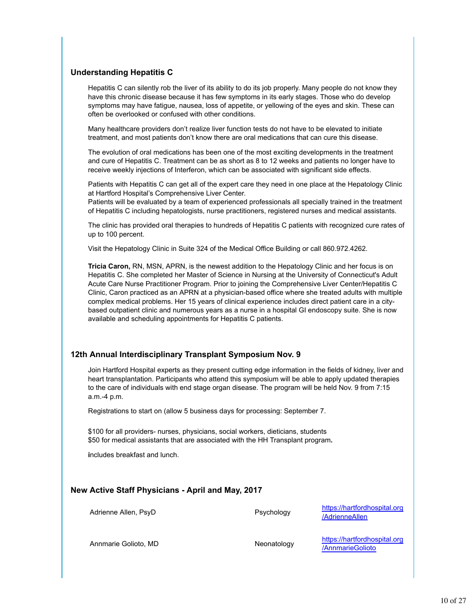#### **Understanding Hepatitis C**

Hepatitis C can silently rob the liver of its ability to do its job properly. Many people do not know they have this chronic disease because it has few symptoms in its early stages. Those who do develop symptoms may have fatigue, nausea, loss of appetite, or yellowing of the eyes and skin. These can often be overlooked or confused with other conditions.

Many healthcare providers don't realize liver function tests do not have to be elevated to initiate treatment, and most patients don't know there are oral medications that can cure this disease.

The evolution of oral medications has been one of the most exciting developments in the treatment and cure of Hepatitis C. Treatment can be as short as 8 to 12 weeks and patients no longer have to receive weekly injections of Interferon, which can be associated with significant side effects.

Patients with Hepatitis C can get all of the expert care they need in one place at the Hepatology Clinic at Hartford Hospital's Comprehensive Liver Center.

Patients will be evaluated by a team of experienced professionals all specially trained in the treatment of Hepatitis C including hepatologists, nurse practitioners, registered nurses and medical assistants.

The clinic has provided oral therapies to hundreds of Hepatitis C patients with recognized cure rates of up to 100 percent.

Visit the Hepatology Clinic in Suite 324 of the Medical Office Building or call 860.972.4262.

**Tricia Caron,** RN, MSN, APRN, is the newest addition to the Hepatology Clinic and her focus is on Hepatitis C. She completed her Master of Science in Nursing at the University of Connecticut's Adult Acute Care Nurse Practitioner Program. Prior to joining the Comprehensive Liver Center/Hepatitis C Clinic, Caron practiced as an APRN at a physician-based office where she treated adults with multiple complex medical problems. Her 15 years of clinical experience includes direct patient care in a citybased outpatient clinic and numerous years as a nurse in a hospital GI endoscopy suite. She is now available and scheduling appointments for Hepatitis C patients.

#### **12th Annual Interdisciplinary Transplant Symposium Nov. 9**

Join Hartford Hospital experts as they present cutting edge information in the fields of kidney, liver and heart transplantation. Participants who attend this symposium will be able to apply updated therapies to the care of individuals with end stage organ disease. The program will be held Nov. 9 from 7:15 a.m.-4 p.m.

Registrations to start on (allow 5 business days for processing: September 7.

\$100 for all providers- nurses, physicians, social workers, dieticians, students \$50 for medical assistants that are associated with the HH Transplant program**.**

**i**ncludes breakfast and lunch.

#### **New Active Staff Physicians - April and May, 2017**

Adrienne Allen, PsyD **Adrienne Allen, Psychology** https://hartfordhospital.org /AdrienneAllen

Annmarie Golioto, MD Neonatology https://hartfordhospital.org /AnnmarieGolioto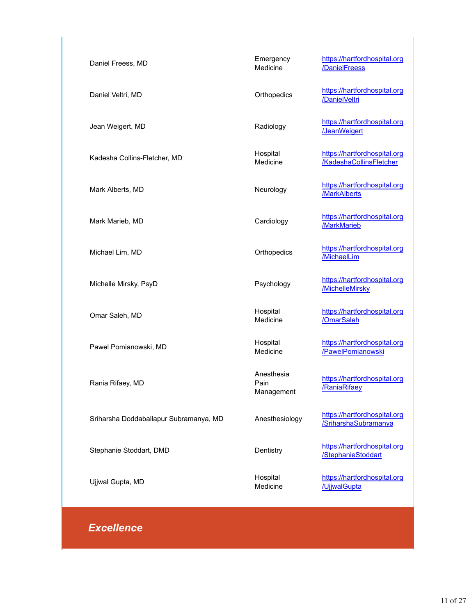| Daniel Freess, MD                      | Emergency<br>Medicine            | https://hartfordhospital.org<br>/DanielFreess           |
|----------------------------------------|----------------------------------|---------------------------------------------------------|
| Daniel Veltri, MD                      | Orthopedics                      | https://hartfordhospital.org<br>/DanielVeltri           |
| Jean Weigert, MD                       | Radiology                        | https://hartfordhospital.org<br>/JeanWeigert            |
| Kadesha Collins-Fletcher, MD           | Hospital<br>Medicine             | https://hartfordhospital.org<br>/KadeshaCollinsFletcher |
| Mark Alberts, MD                       | Neurology                        | https://hartfordhospital.org<br>/MarkAlberts            |
| Mark Marieb, MD                        | Cardiology                       | https://hartfordhospital.org<br>/MarkMarieb             |
| Michael Lim, MD                        | Orthopedics                      | https://hartfordhospital.org<br>/MichaelLim             |
| Michelle Mirsky, PsyD                  | Psychology                       | https://hartfordhospital.org<br>/MichelleMirsky         |
| Omar Saleh, MD                         | Hospital<br>Medicine             | https://hartfordhospital.org<br>/OmarSaleh              |
| Pawel Pomianowski, MD                  | Hospital<br>Medicine             | https://hartfordhospital.org<br>/PawelPomianowski       |
| Rania Rifaey, MD                       | Anesthesia<br>Pain<br>Management | https://hartfordhospital.org<br>/RaniaRifaey            |
| Sriharsha Doddaballapur Subramanya, MD | Anesthesiology                   | https://hartfordhospital.org<br>/SriharshaSubramanya    |
| Stephanie Stoddart, DMD                | Dentistry                        | https://hartfordhospital.org<br>/StephanieStoddart      |
| Ujjwal Gupta, MD                       | Hospital<br>Medicine             | https://hartfordhospital.org<br>/UjjwalGupta            |

## *Excellence*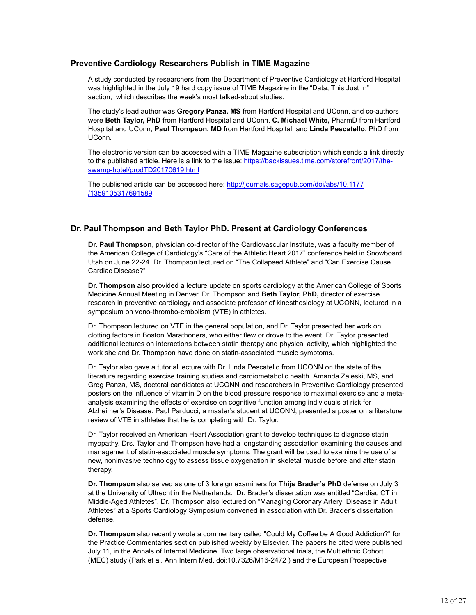#### **Preventive Cardiology Researchers Publish in TIME Magazine**

A study conducted by researchers from the Department of Preventive Cardiology at Hartford Hospital was highlighted in the July 19 hard copy issue of TIME Magazine in the "Data, This Just In" section, which describes the week's most talked-about studies.

The study's lead author was **Gregory Panza, MS** from Hartford Hospital and UConn, and co-authors were **Beth Taylor, PhD** from Hartford Hospital and UConn, **C. Michael White,** PharmD from Hartford Hospital and UConn, **Paul Thompson, MD** from Hartford Hospital, and **Linda Pescatello**, PhD from UConn.

The electronic version can be accessed with a TIME Magazine subscription which sends a link directly to the published article. Here is a link to the issue: https://backissues.time.com/storefront/2017/theswamp-hotel/prodTD20170619.html

The published article can be accessed here: http://journals.sagepub.com/doi/abs/10.1177 /1359105317691589

#### **Dr. Paul Thompson and Beth Taylor PhD. Present at Cardiology Conferences**

**Dr. Paul Thompson**, physician co-director of the Cardiovascular Institute, was a faculty member of the American College of Cardiology's "Care of the Athletic Heart 2017" conference held in Snowboard, Utah on June 22-24. Dr. Thompson lectured on "The Collapsed Athlete" and "Can Exercise Cause Cardiac Disease?"

**Dr. Thompson** also provided a lecture update on sports cardiology at the American College of Sports Medicine Annual Meeting in Denver. Dr. Thompson and **Beth Taylor, PhD,** director of exercise research in preventive cardiology and associate professor of kinesthesiology at UCONN, lectured in a symposium on veno-thrombo-embolism (VTE) in athletes.

Dr. Thompson lectured on VTE in the general population, and Dr. Taylor presented her work on clotting factors in Boston Marathoners, who either flew or drove to the event. Dr. Taylor presented additional lectures on interactions between statin therapy and physical activity, which highlighted the work she and Dr. Thompson have done on statin-associated muscle symptoms.

Dr. Taylor also gave a tutorial lecture with Dr. Linda Pescatello from UCONN on the state of the literature regarding exercise training studies and cardiometabolic health. Amanda Zaleski, MS, and Greg Panza, MS, doctoral candidates at UCONN and researchers in Preventive Cardiology presented posters on the influence of vitamin D on the blood pressure response to maximal exercise and a metaanalysis examining the effects of exercise on cognitive function among individuals at risk for Alzheimer's Disease. Paul Parducci, a master's student at UCONN, presented a poster on a literature review of VTE in athletes that he is completing with Dr. Taylor.

Dr. Taylor received an American Heart Association grant to develop techniques to diagnose statin myopathy. Drs. Taylor and Thompson have had a longstanding association examining the causes and management of statin-associated muscle symptoms. The grant will be used to examine the use of a new, noninvasive technology to assess tissue oxygenation in skeletal muscle before and after statin therapy.

**Dr. Thompson** also served as one of 3 foreign examiners for **Thijs Brader's PhD** defense on July 3 at the University of Ultrecht in the Netherlands. Dr. Brader's dissertation was entitled "Cardiac CT in Middle-Aged Athletes". Dr. Thompson also lectured on "Managing Coronary Artery Disease in Adult Athletes" at a Sports Cardiology Symposium convened in association with Dr. Brader's dissertation defense.

**Dr. Thompson** also recently wrote a commentary called "Could My Coffee be A Good Addiction?" for the Practice Commentaries section published weekly by Elsevier. The papers he cited were published July 11, in the Annals of Internal Medicine. Two large observational trials, the Multiethnic Cohort (MEC) study (Park et al. Ann Intern Med. doi:10.7326/M16-2472 ) and the European Prospective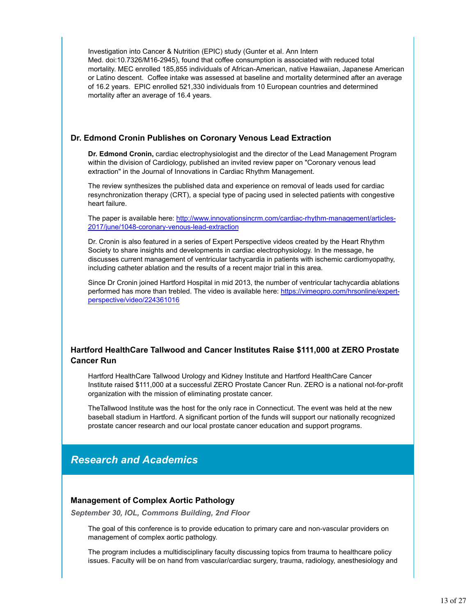Investigation into Cancer & Nutrition (EPIC) study (Gunter et al. Ann Intern Med. doi:10.7326/M16-2945), found that coffee consumption is associated with reduced total mortality. MEC enrolled 185,855 individuals of African-American, native Hawaiian, Japanese American or Latino descent. Coffee intake was assessed at baseline and mortality determined after an average of 16.2 years. EPIC enrolled 521,330 individuals from 10 European countries and determined mortality after an average of 16.4 years.

#### **Dr. Edmond Cronin Publishes on Coronary Venous Lead Extraction**

**Dr. Edmond Cronin,** cardiac electrophysiologist and the director of the Lead Management Program within the division of Cardiology, published an invited review paper on "Coronary venous lead extraction" in the Journal of Innovations in Cardiac Rhythm Management.

The review synthesizes the published data and experience on removal of leads used for cardiac resynchronization therapy (CRT), a special type of pacing used in selected patients with congestive heart failure.

The paper is available here: http://www.innovationsincrm.com/cardiac-rhythm-management/articles-2017/june/1048-coronary-venous-lead-extraction

Dr. Cronin is also featured in a series of Expert Perspective videos created by the Heart Rhythm Society to share insights and developments in cardiac electrophysiology. In the message, he discusses current management of ventricular tachycardia in patients with ischemic cardiomyopathy, including catheter ablation and the results of a recent major trial in this area.

Since Dr Cronin joined Hartford Hospital in mid 2013, the number of ventricular tachycardia ablations performed has more than trebled. The video is available here: https://vimeopro.com/hrsonline/expertperspective/video/224361016

#### **Hartford HealthCare Tallwood and Cancer Institutes Raise \$111,000 at ZERO Prostate Cancer Run**

Hartford HealthCare Tallwood Urology and Kidney Institute and Hartford HealthCare Cancer Institute raised \$111,000 at a successful ZERO Prostate Cancer Run. ZERO is a national not-for-profit organization with the mission of eliminating prostate cancer.

TheTallwood Institute was the host for the only race in Connecticut. The event was held at the new baseball stadium in Hartford. A significant portion of the funds will support our nationally recognized prostate cancer research and our local prostate cancer education and support programs.

## *Research and Academics*

#### **Management of Complex Aortic Pathology**

*September 30, IOL, Commons Building, 2nd Floor*

The goal of this conference is to provide education to primary care and non-vascular providers on management of complex aortic pathology.

The program includes a multidisciplinary faculty discussing topics from trauma to healthcare policy issues. Faculty will be on hand from vascular/cardiac surgery, trauma, radiology, anesthesiology and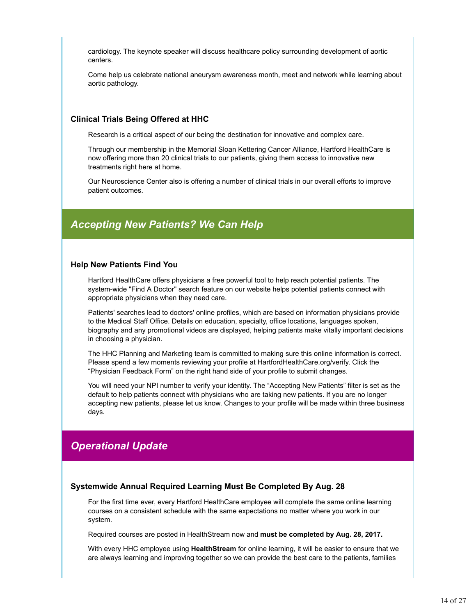cardiology. The keynote speaker will discuss healthcare policy surrounding development of aortic centers.

Come help us celebrate national aneurysm awareness month, meet and network while learning about aortic pathology.

#### **Clinical Trials Being Offered at HHC**

Research is a critical aspect of our being the destination for innovative and complex care.

Through our membership in the Memorial Sloan Kettering Cancer Alliance, Hartford HealthCare is now offering more than 20 clinical trials to our patients, giving them access to innovative new treatments right here at home.

Our Neuroscience Center also is offering a number of clinical trials in our overall efforts to improve patient outcomes.

## *Accepting New Patients? We Can Help*

#### **Help New Patients Find You**

Hartford HealthCare offers physicians a free powerful tool to help reach potential patients. The system-wide "Find A Doctor" search feature on our website helps potential patients connect with appropriate physicians when they need care.

Patients' searches lead to doctors' online profiles, which are based on information physicians provide to the Medical Staff Office. Details on education, specialty, office locations, languages spoken, biography and any promotional videos are displayed, helping patients make vitally important decisions in choosing a physician.

The HHC Planning and Marketing team is committed to making sure this online information is correct. Please spend a few moments reviewing your profile at HartfordHealthCare.org/verify. Click the "Physician Feedback Form" on the right hand side of your profile to submit changes.

You will need your NPI number to verify your identity. The "Accepting New Patients" filter is set as the default to help patients connect with physicians who are taking new patients. If you are no longer accepting new patients, please let us know. Changes to your profile will be made within three business days.

## *Operational Update*

#### **Systemwide Annual Required Learning Must Be Completed By Aug. 28**

For the first time ever, every Hartford HealthCare employee will complete the same online learning courses on a consistent schedule with the same expectations no matter where you work in our system.

Required courses are posted in HealthStream now and **must be completed by Aug. 28, 2017.**

With every HHC employee using **HealthStream** for online learning, it will be easier to ensure that we are always learning and improving together so we can provide the best care to the patients, families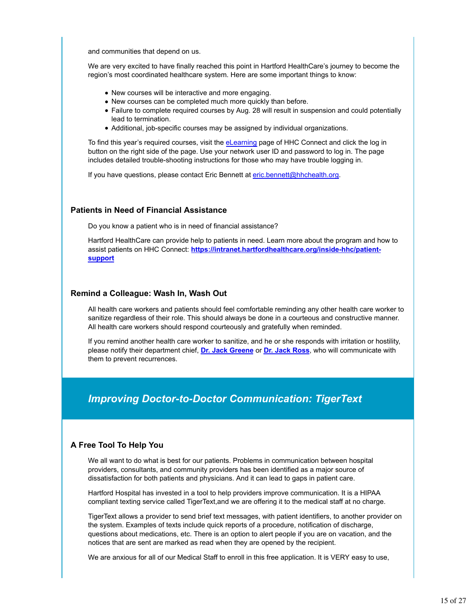and communities that depend on us.

We are very excited to have finally reached this point in Hartford HealthCare's journey to become the region's most coordinated healthcare system. Here are some important things to know:

- New courses will be interactive and more engaging.
- New courses can be completed much more quickly than before.
- Failure to complete required courses by Aug. 28 will result in suspension and could potentially lead to termination.
- Additional, job-specific courses may be assigned by individual organizations.

To find this year's required courses, visit the eLearning page of HHC Connect and click the log in button on the right side of the page. Use your network user ID and password to log in. The page includes detailed trouble-shooting instructions for those who may have trouble logging in.

If you have questions, please contact Eric Bennett at eric.bennett@hhchealth.org.

#### **Patients in Need of Financial Assistance**

Do you know a patient who is in need of financial assistance?

Hartford HealthCare can provide help to patients in need. Learn more about the program and how to assist patients on HHC Connect: **https://intranet.hartfordhealthcare.org/inside-hhc/patientsupport**

#### **Remind a Colleague: Wash In, Wash Out**

All health care workers and patients should feel comfortable reminding any other health care worker to sanitize regardless of their role. This should always be done in a courteous and constructive manner. All health care workers should respond courteously and gratefully when reminded.

If you remind another health care worker to sanitize, and he or she responds with irritation or hostility, please notify their department chief, **Dr. Jack Greene** or **Dr. Jack Ross**, who will communicate with them to prevent recurrences.

## *Improving Doctor-to-Doctor Communication: TigerText*

#### **A Free Tool To Help You**

We all want to do what is best for our patients. Problems in communication between hospital providers, consultants, and community providers has been identified as a major source of dissatisfaction for both patients and physicians. And it can lead to gaps in patient care.

Hartford Hospital has invested in a tool to help providers improve communication. It is a HIPAA compliant texting service called TigerText,and we are offering it to the medical staff at no charge.

TigerText allows a provider to send brief text messages, with patient identifiers, to another provider on the system. Examples of texts include quick reports of a procedure, notification of discharge, questions about medications, etc. There is an option to alert people if you are on vacation, and the notices that are sent are marked as read when they are opened by the recipient.

We are anxious for all of our Medical Staff to enroll in this free application. It is VERY easy to use,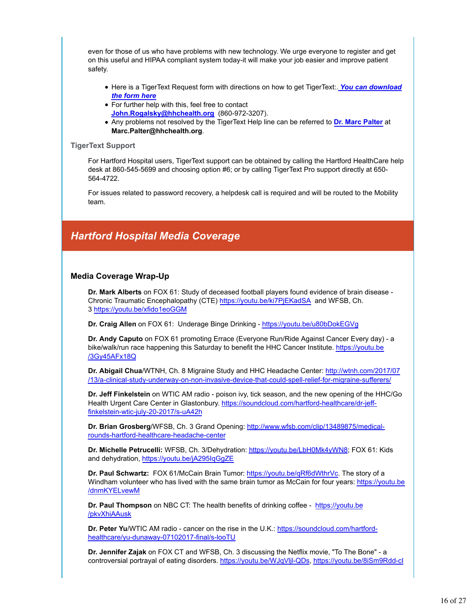even for those of us who have problems with new technology. We urge everyone to register and get on this useful and HIPAA compliant system today-it will make your job easier and improve patient safety.

- **Here is a TigerText Request form with directions on how to get TigerText:. You can download** *the form here*
- For further help with this, feel free to contact **John.Rogalsky@hhchealth.org** (860-972-3207).
- Any problems not resolved by the TigerText Help line can be referred to **Dr. Marc Palter** at **Marc.Palter@hhchealth.org**.

#### **TigerText Support**

For Hartford Hospital users, TigerText support can be obtained by calling the Hartford HealthCare help desk at 860-545-5699 and choosing option #6; or by calling TigerText Pro support directly at 650- 564-4722.

For issues related to password recovery, a helpdesk call is required and will be routed to the Mobility team.

## *Hartford Hospital Media Coverage*

#### **Media Coverage Wrap-Up**

**Dr. Mark Alberts** on FOX 61: Study of deceased football players found evidence of brain disease - Chronic Traumatic Encephalopathy (CTE) https://youtu.be/ki7PjEKadSA and WFSB, Ch. 3 https://youtu.be/xfido1eoGGM

**Dr. Craig Allen** on FOX 61: Underage Binge Drinking - https://youtu.be/u80bDokEGVg

**Dr. Andy Caputo** on FOX 61 promoting Errace (Everyone Run/Ride Against Cancer Every day) - a bike/walk/run race happening this Saturday to benefit the HHC Cancer Institute. https://youtu.be /3Gy45AFx18Q

**Dr. Abigail Chua**/WTNH, Ch. 8 Migraine Study and HHC Headache Center: http://wtnh.com/2017/07 /13/a-clinical-study-underway-on-non-invasive-device-that-could-spell-relief-for-migraine-sufferers/

**Dr. Jeff Finkelstein** on WTIC AM radio - poison ivy, tick season, and the new opening of the HHC/Go Health Urgent Care Center in Glastonbury. https://soundcloud.com/hartford-healthcare/dr-jefffinkelstein-wtic-july-20-2017/s-uA42h

**Dr. Brian Grosberg**/WFSB, Ch. 3 Grand Opening: http://www.wfsb.com/clip/13489875/medicalrounds-hartford-healthcare-headache-center

**Dr. Michelle Petrucelli:** WFSB, Ch. 3/Dehydration: https://youtu.be/LbH0Mk4yWN8; FOX 61: Kids and dehydration, https://youtu.be/jA295IqGgZE

**Dr. Paul Schwartz:** FOX 61/McCain Brain Tumor: https://youtu.be/qRf6dWthrVc. The story of a Windham volunteer who has lived with the same brain tumor as McCain for four years: https://youtu.be /dnmKYELvewM

**Dr. Paul Thompson** on NBC CT: The health benefits of drinking coffee - https://youtu.be /pkvXhiAAusk

**Dr. Peter Yu**/WTIC AM radio - cancer on the rise in the U.K.: https://soundcloud.com/hartfordhealthcare/yu-dunaway-07102017-final/s-looTU

**Dr. Jennifer Zajak** on FOX CT and WFSB, Ch. 3 discussing the Netflix movie, "To The Bone" - a controversial portrayal of eating disorders. https://youtu.be/WJqVljl-QDs, https://youtu.be/8iSm9Rdd-cI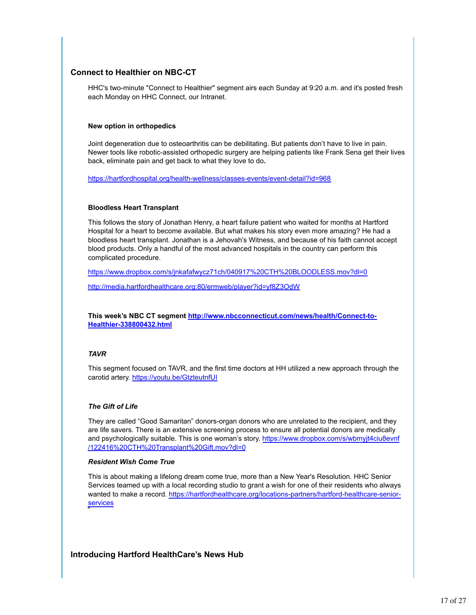#### **Connect to Healthier on NBC-CT**

HHC's two-minute "Connect to Healthier" segment airs each Sunday at 9:20 a.m. and it's posted fresh each Monday on HHC Connect, our Intranet.

#### **New option in orthopedics**

Joint degeneration due to osteoarthritis can be debilitating. But patients don't have to live in pain. Newer tools like robotic-assisted orthopedic surgery are helping patients like Frank Sena get their lives back, eliminate pain and get back to what they love to do**.**

https://hartfordhospital.org/health-wellness/classes-events/event-detail?id=968

#### **Bloodless Heart Transplant**

This follows the story of Jonathan Henry, a heart failure patient who waited for months at Hartford Hospital for a heart to become available. But what makes his story even more amazing? He had a bloodless heart transplant. Jonathan is a Jehovah's Witness, and because of his faith cannot accept blood products. Only a handful of the most advanced hospitals in the country can perform this complicated procedure.

https://www.dropbox.com/s/jnkafafwycz71ch/040917%20CTH%20BLOODLESS.mov?dl=0

http://media.hartfordhealthcare.org:80/ermweb/player?id=yf8Z3OdW

**This week's NBC CT segment http://www.nbcconnecticut.com/news/health/Connect-to-Healthier-338800432.html**

#### *TAVR*

This segment focused on TAVR, and the first time doctors at HH utilized a new approach through the carotid artery. https://youtu.be/GtzteutnfUI

#### *The Gift of Life*

They are called "Good Samaritan" donors-organ donors who are unrelated to the recipient, and they are life savers. There is an extensive screening process to ensure all potential donors are medically and psychologically suitable. This is one woman's story. https://www.dropbox.com/s/wbmyjt4ciu8evnf /122416%20CTH%20Transplant%20Gift.mov?dl=0

#### *Resident Wish Come True*

This is about making a lifelong dream come true, more than a New Year's Resolution. HHC Senior Services teamed up with a local recording studio to grant a wish for one of their residents who always wanted to make a record. https://hartfordhealthcare.org/locations-partners/hartford-healthcare-seniorservices

#### **Introducing Hartford HealthCare's News Hub**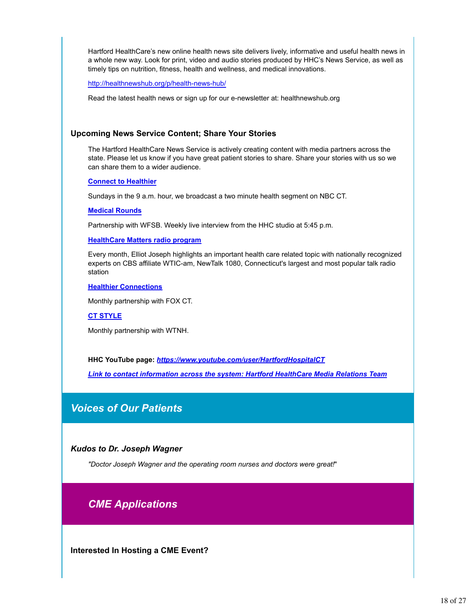Hartford HealthCare's new online health news site delivers lively, informative and useful health news in a whole new way. Look for print, video and audio stories produced by HHC's News Service, as well as timely tips on nutrition, fitness, health and wellness, and medical innovations.

http://healthnewshub.org/p/health-news-hub/

Read the latest health news or sign up for our e-newsletter at: healthnewshub.org

#### **Upcoming News Service Content; Share Your Stories**

The Hartford HealthCare News Service is actively creating content with media partners across the state. Please let us know if you have great patient stories to share. Share your stories with us so we can share them to a wider audience.

**Connect to Healthier**

Sundays in the 9 a.m. hour, we broadcast a two minute health segment on NBC CT.

**Medical Rounds**

Partnership with WFSB. Weekly live interview from the HHC studio at 5:45 p.m.

**HealthCare Matters radio program**

Every month, Elliot Joseph highlights an important health care related topic with nationally recognized experts on CBS affiliate WTIC-am, NewTalk 1080, Connecticut's largest and most popular talk radio station

#### **Healthier Connections**

Monthly partnership with FOX CT.

**CT STYLE**

Monthly partnership with WTNH.

**HHC YouTube page:** *https://www.youtube.com/user/HartfordHospitalCT*

*Link to contact information across the system: Hartford HealthCare Media Relations Team*

## *Voices of Our Patients*

*Kudos to Dr. Joseph Wagner*

*"Doctor Joseph Wagner and the operating room nurses and doctors were great!*"

## *CME Applications*

**Interested In Hosting a CME Event?**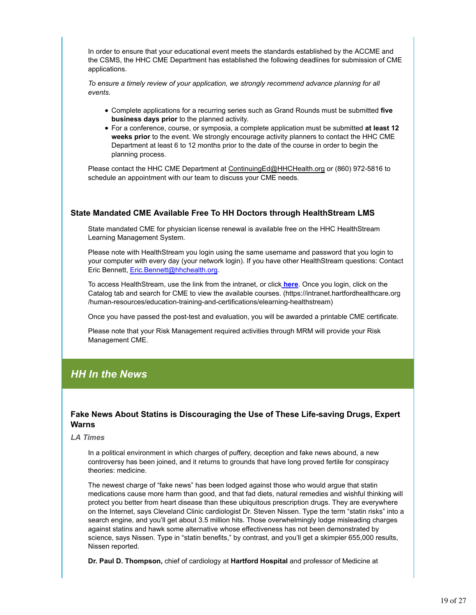In order to ensure that your educational event meets the standards established by the ACCME and the CSMS, the HHC CME Department has established the following deadlines for submission of CME applications.

*To ensure a timely review of your application, we strongly recommend advance planning for all events.* 

- Complete applications for a recurring series such as Grand Rounds must be submitted **five business days prior** to the planned activity.
- For a conference, course, or symposia, a complete application must be submitted **at least 12 weeks prior** to the event. We strongly encourage activity planners to contact the HHC CME Department at least 6 to 12 months prior to the date of the course in order to begin the planning process.

Please contact the HHC CME Department at ContinuingEd@HHCHealth.org or (860) 972-5816 to schedule an appointment with our team to discuss your CME needs.

#### **State Mandated CME Available Free To HH Doctors through HealthStream LMS**

State mandated CME for physician license renewal is available free on the HHC HealthStream Learning Management System.

Please note with HealthStream you login using the same username and password that you login to your computer with every day (your network login). If you have other HealthStream questions: Contact Eric Bennett, Eric.Bennett@hhchealth.org.

To access HealthStream, use the link from the intranet, or click **here**. Once you login, click on the Catalog tab and search for CME to view the available courses. (https://intranet.hartfordhealthcare.org /human-resources/education-training-and-certifications/elearning-healthstream)

Once you have passed the post-test and evaluation, you will be awarded a printable CME certificate.

Please note that your Risk Management required activities through MRM will provide your Risk Management CME.

## *HH In the News*

#### **Fake News About Statins is Discouraging the Use of These Life-saving Drugs, Expert Warns**

*LA Times*

In a political environment in which charges of puffery, deception and fake news abound, a new controversy has been joined, and it returns to grounds that have long proved fertile for conspiracy theories: medicine.

The newest charge of "fake news" has been lodged against those who would argue that statin medications cause more harm than good, and that fad diets, natural remedies and wishful thinking will protect you better from heart disease than these ubiquitous prescription drugs. They are everywhere on the Internet, says Cleveland Clinic cardiologist Dr. Steven Nissen. Type the term "statin risks" into a search engine, and you'll get about 3.5 million hits. Those overwhelmingly lodge misleading charges against statins and hawk some alternative whose effectiveness has not been demonstrated by science, says Nissen. Type in "statin benefits," by contrast, and you'll get a skimpier 655,000 results, Nissen reported.

**Dr. Paul D. Thompson,** chief of cardiology at **Hartford Hospital** and professor of Medicine at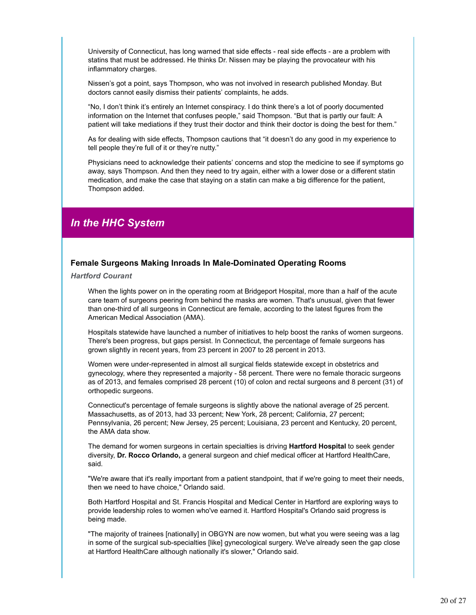University of Connecticut, has long warned that side effects - real side effects - are a problem with statins that must be addressed. He thinks Dr. Nissen may be playing the provocateur with his inflammatory charges.

Nissen's got a point, says Thompson, who was not involved in research published Monday. But doctors cannot easily dismiss their patients' complaints, he adds.

"No, I don't think it's entirely an Internet conspiracy. I do think there's a lot of poorly documented information on the Internet that confuses people," said Thompson. "But that is partly our fault: A patient will take mediations if they trust their doctor and think their doctor is doing the best for them."

As for dealing with side effects, Thompson cautions that "it doesn't do any good in my experience to tell people they're full of it or they're nutty."

Physicians need to acknowledge their patients' concerns and stop the medicine to see if symptoms go away, says Thompson. And then they need to try again, either with a lower dose or a different statin medication, and make the case that staying on a statin can make a big difference for the patient, Thompson added.

## *In the HHC System*

#### **Female Surgeons Making Inroads In Male-Dominated Operating Rooms**

*Hartford Courant*

When the lights power on in the operating room at Bridgeport Hospital, more than a half of the acute care team of surgeons peering from behind the masks are women. That's unusual, given that fewer than one-third of all surgeons in Connecticut are female, according to the latest figures from the American Medical Association (AMA).

Hospitals statewide have launched a number of initiatives to help boost the ranks of women surgeons. There's been progress, but gaps persist. In Connecticut, the percentage of female surgeons has grown slightly in recent years, from 23 percent in 2007 to 28 percent in 2013.

Women were under-represented in almost all surgical fields statewide except in obstetrics and gynecology, where they represented a majority - 58 percent. There were no female thoracic surgeons as of 2013, and females comprised 28 percent (10) of colon and rectal surgeons and 8 percent (31) of orthopedic surgeons.

Connecticut's percentage of female surgeons is slightly above the national average of 25 percent. Massachusetts, as of 2013, had 33 percent; New York, 28 percent; California, 27 percent; Pennsylvania, 26 percent; New Jersey, 25 percent; Louisiana, 23 percent and Kentucky, 20 percent, the AMA data show.

The demand for women surgeons in certain specialties is driving **Hartford Hospital** to seek gender diversity, **Dr. Rocco Orlando,** a general surgeon and chief medical officer at Hartford HealthCare, said.

"We're aware that it's really important from a patient standpoint, that if we're going to meet their needs, then we need to have choice," Orlando said.

Both Hartford Hospital and St. Francis Hospital and Medical Center in Hartford are exploring ways to provide leadership roles to women who've earned it. Hartford Hospital's Orlando said progress is being made.

"The majority of trainees [nationally] in OBGYN are now women, but what you were seeing was a lag in some of the surgical sub-specialties [like] gynecological surgery. We've already seen the gap close at Hartford HealthCare although nationally it's slower," Orlando said.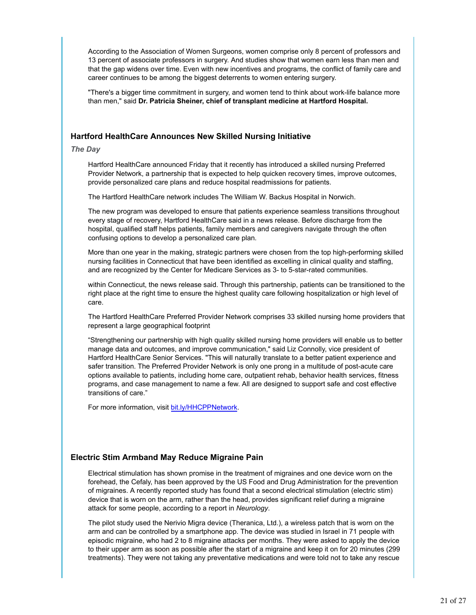According to the Association of Women Surgeons, women comprise only 8 percent of professors and 13 percent of associate professors in surgery. And studies show that women earn less than men and that the gap widens over time. Even with new incentives and programs, the conflict of family care and career continues to be among the biggest deterrents to women entering surgery.

"There's a bigger time commitment in surgery, and women tend to think about work-life balance more than men," said **Dr. Patricia Sheiner, chief of transplant medicine at Hartford Hospital.**

#### **Hartford HealthCare Announces New Skilled Nursing Initiative**

*The Day*

Hartford HealthCare announced Friday that it recently has introduced a skilled nursing Preferred Provider Network, a partnership that is expected to help quicken recovery times, improve outcomes, provide personalized care plans and reduce hospital readmissions for patients.

The Hartford HealthCare network includes The William W. Backus Hospital in Norwich.

The new program was developed to ensure that patients experience seamless transitions throughout every stage of recovery, Hartford HealthCare said in a news release. Before discharge from the hospital, qualified staff helps patients, family members and caregivers navigate through the often confusing options to develop a personalized care plan.

More than one year in the making, strategic partners were chosen from the top high-performing skilled nursing facilities in Connecticut that have been identified as excelling in clinical quality and staffing, and are recognized by the Center for Medicare Services as 3- to 5-star-rated communities.

within Connecticut, the news release said. Through this partnership, patients can be transitioned to the right place at the right time to ensure the highest quality care following hospitalization or high level of care.

The Hartford HealthCare Preferred Provider Network comprises 33 skilled nursing home providers that represent a large geographical footprint

"Strengthening our partnership with high quality skilled nursing home providers will enable us to better manage data and outcomes, and improve communication," said Liz Connolly, vice president of Hartford HealthCare Senior Services. "This will naturally translate to a better patient experience and safer transition. The Preferred Provider Network is only one prong in a multitude of post-acute care options available to patients, including home care, outpatient rehab, behavior health services, fitness programs, and case management to name a few. All are designed to support safe and cost effective transitions of care."

For more information, visit bit.ly/HHCPPNetwork.

#### **Electric Stim Armband May Reduce Migraine Pain**

Electrical stimulation has shown promise in the treatment of migraines and one device worn on the forehead, the Cefaly, has been approved by the US Food and Drug Administration for the prevention of migraines. A recently reported study has found that a second electrical stimulation (electric stim) device that is worn on the arm, rather than the head, provides significant relief during a migraine attack for some people, according to a report in *Neurology*.

The pilot study used the Nerivio Migra device (Theranica, Ltd.), a wireless patch that is worn on the arm and can be controlled by a smartphone app. The device was studied in Israel in 71 people with episodic migraine, who had 2 to 8 migraine attacks per months. They were asked to apply the device to their upper arm as soon as possible after the start of a migraine and keep it on for 20 minutes (299 treatments). They were not taking any preventative medications and were told not to take any rescue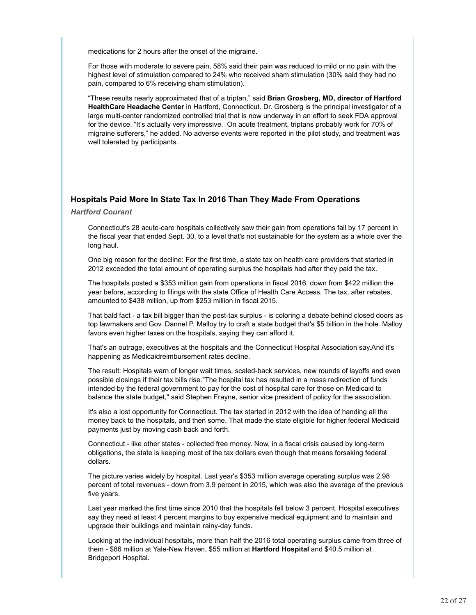medications for 2 hours after the onset of the migraine.

For those with moderate to severe pain, 58% said their pain was reduced to mild or no pain with the highest level of stimulation compared to 24% who received sham stimulation (30% said they had no pain, compared to 6% receiving sham stimulation).

"These results nearly approximated that of a triptan," said **Brian Grosberg, MD, director of Hartford HealthCare Headache Center** in Hartford, Connecticut. Dr. Grosberg is the principal investigator of a large multi-center randomized controlled trial that is now underway in an effort to seek FDA approval for the device. "It's actually very impressive. On acute treatment, triptans probably work for 70% of migraine sufferers," he added. No adverse events were reported in the pilot study, and treatment was well tolerated by participants.

#### **Hospitals Paid More In State Tax In 2016 Than They Made From Operations**

#### *Hartford Courant*

Connecticut's 28 acute-care hospitals collectively saw their gain from operations fall by 17 percent in the fiscal year that ended Sept. 30, to a level that's not sustainable for the system as a whole over the long haul.

One big reason for the decline: For the first time, a state tax on health care providers that started in 2012 exceeded the total amount of operating surplus the hospitals had after they paid the tax.

The hospitals posted a \$353 million gain from operations in fiscal 2016, down from \$422 million the year before, according to filings with the state Office of Health Care Access. The tax, after rebates, amounted to \$438 million, up from \$253 million in fiscal 2015.

That bald fact - a tax bill bigger than the post-tax surplus - is coloring a debate behind closed doors as top lawmakers and Gov. Dannel P. Malloy try to craft a state budget that's \$5 billion in the hole. Malloy favors even higher taxes on the hospitals, saying they can afford it.

That's an outrage, executives at the hospitals and the Connecticut Hospital Association say.And it's happening as Medicaidreimbursement rates decline.

The result: Hospitals warn of longer wait times, scaled-back services, new rounds of layoffs and even possible closings if their tax bills rise."The hospital tax has resulted in a mass redirection of funds intended by the federal government to pay for the cost of hospital care for those on Medicaid to balance the state budget," said Stephen Frayne, senior vice president of policy for the association.

It's also a lost opportunity for Connecticut. The tax started in 2012 with the idea of handing all the money back to the hospitals, and then some. That made the state eligible for higher federal Medicaid payments just by moving cash back and forth.

Connecticut - like other states - collected free money. Now, in a fiscal crisis caused by long-term obligations, the state is keeping most of the tax dollars even though that means forsaking federal dollars.

The picture varies widely by hospital. Last year's \$353 million average operating surplus was 2.98 percent of total revenues - down from 3.9 percent in 2015, which was also the average of the previous five years.

Last year marked the first time since 2010 that the hospitals fell below 3 percent. Hospital executives say they need at least 4 percent margins to buy expensive medical equipment and to maintain and upgrade their buildings and maintain rainy-day funds.

Looking at the individual hospitals, more than half the 2016 total operating surplus came from three of them - \$86 million at Yale-New Haven, \$55 million at **Hartford Hospital** and \$40.5 million at Bridgeport Hospital.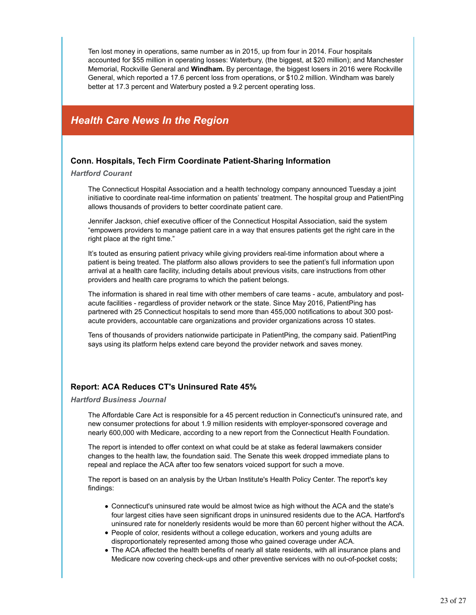Ten lost money in operations, same number as in 2015, up from four in 2014. Four hospitals accounted for \$55 million in operating losses: Waterbury, (the biggest, at \$20 million); and Manchester Memorial, Rockville General and **Windham.** By percentage, the biggest losers in 2016 were Rockville General, which reported a 17.6 percent loss from operations, or \$10.2 million. Windham was barely better at 17.3 percent and Waterbury posted a 9.2 percent operating loss.

## *Health Care News In the Region*

#### **Conn. Hospitals, Tech Firm Coordinate Patient-Sharing Information**

#### *Hartford Courant*

The Connecticut Hospital Association and a health technology company announced Tuesday a joint initiative to coordinate real-time information on patients' treatment. The hospital group and PatientPing allows thousands of providers to better coordinate patient care.

Jennifer Jackson, chief executive officer of the Connecticut Hospital Association, said the system "empowers providers to manage patient care in a way that ensures patients get the right care in the right place at the right time."

It's touted as ensuring patient privacy while giving providers real-time information about where a patient is being treated. The platform also allows providers to see the patient's full information upon arrival at a health care facility, including details about previous visits, care instructions from other providers and health care programs to which the patient belongs.

The information is shared in real time with other members of care teams - acute, ambulatory and postacute facilities - regardless of provider network or the state. Since May 2016, PatientPing has partnered with 25 Connecticut hospitals to send more than 455,000 notifications to about 300 postacute providers, accountable care organizations and provider organizations across 10 states.

Tens of thousands of providers nationwide participate in PatientPing, the company said. PatientPing says using its platform helps extend care beyond the provider network and saves money.

#### **Report: ACA Reduces CT's Uninsured Rate 45%**

#### *Hartford Business Journal*

The Affordable Care Act is responsible for a 45 percent reduction in Connecticut's uninsured rate, and new consumer protections for about 1.9 million residents with employer-sponsored coverage and nearly 600,000 with Medicare, according to a new report from the Connecticut Health Foundation.

The report is intended to offer context on what could be at stake as federal lawmakers consider changes to the health law, the foundation said. The Senate this week dropped immediate plans to repeal and replace the ACA after too few senators voiced support for such a move.

The report is based on an analysis by the Urban Institute's Health Policy Center. The report's key findings:

- Connecticut's uninsured rate would be almost twice as high without the ACA and the state's four largest cities have seen significant drops in uninsured residents due to the ACA. Hartford's uninsured rate for nonelderly residents would be more than 60 percent higher without the ACA.
- People of color, residents without a college education, workers and young adults are disproportionately represented among those who gained coverage under ACA.
- The ACA affected the health benefits of nearly all state residents, with all insurance plans and Medicare now covering check-ups and other preventive services with no out-of-pocket costs;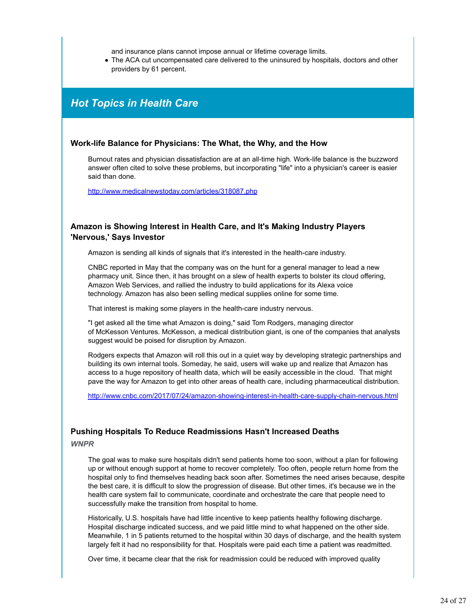and insurance plans cannot impose annual or lifetime coverage limits.

The ACA cut uncompensated care delivered to the uninsured by hospitals, doctors and other providers by 61 percent.

## *Hot Topics in Health Care*

#### **Work-life Balance for Physicians: The What, the Why, and the How**

Burnout rates and physician dissatisfaction are at an all-time high. Work-life balance is the buzzword answer often cited to solve these problems, but incorporating "life" into a physician's career is easier said than done.

http://www.medicalnewstoday.com/articles/318087.php

#### **Amazon is Showing Interest in Health Care, and It's Making Industry Players 'Nervous,' Says Investor**

Amazon is sending all kinds of signals that it's interested in the health-care industry.

CNBC reported in May that the company was on the hunt for a general manager to lead a new pharmacy unit. Since then, it has brought on a slew of health experts to bolster its cloud offering, Amazon Web Services, and rallied the industry to build applications for its Alexa voice technology. Amazon has also been selling medical supplies online for some time.

That interest is making some players in the health-care industry nervous.

"I get asked all the time what Amazon is doing," said Tom Rodgers, managing director of McKesson Ventures. McKesson, a medical distribution giant, is one of the companies that analysts suggest would be poised for disruption by Amazon.

Rodgers expects that Amazon will roll this out in a quiet way by developing strategic partnerships and building its own internal tools. Someday, he said, users will wake up and realize that Amazon has access to a huge repository of health data, which will be easily accessible in the cloud. That might pave the way for Amazon to get into other areas of health care, including pharmaceutical distribution.

http://www.cnbc.com/2017/07/24/amazon-showing-interest-in-health-care-supply-chain-nervous.html

#### **Pushing Hospitals To Reduce Readmissions Hasn't Increased Deaths**

*WNPR*

The goal was to make sure hospitals didn't send patients home too soon, without a plan for following up or without enough support at home to recover completely. Too often, people return home from the hospital only to find themselves heading back soon after. Sometimes the need arises because, despite the best care, it is difficult to slow the progression of disease. But other times, it's because we in the health care system fail to communicate, coordinate and orchestrate the care that people need to successfully make the transition from hospital to home.

Historically, U.S. hospitals have had little incentive to keep patients healthy following discharge. Hospital discharge indicated success, and we paid little mind to what happened on the other side. Meanwhile, 1 in 5 patients returned to the hospital within 30 days of discharge, and the health system largely felt it had no responsibility for that. Hospitals were paid each time a patient was readmitted.

Over time, it became clear that the risk for readmission could be reduced with improved quality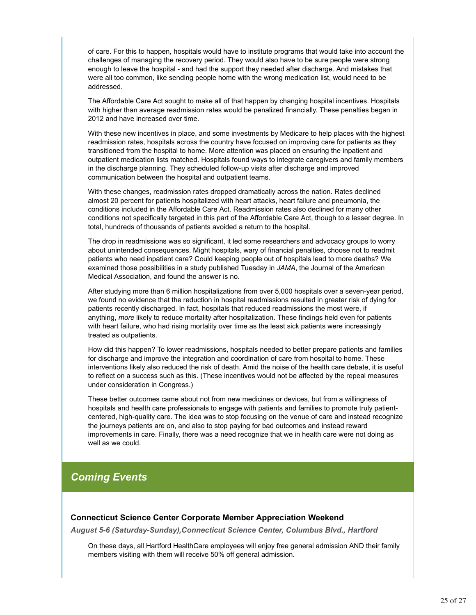of care. For this to happen, hospitals would have to institute programs that would take into account the challenges of managing the recovery period. They would also have to be sure people were strong enough to leave the hospital - and had the support they needed after discharge. And mistakes that were all too common, like sending people home with the wrong medication list, would need to be addressed.

The Affordable Care Act sought to make all of that happen by changing hospital incentives. Hospitals with higher than average readmission rates would be penalized financially. These penalties began in 2012 and have increased over time.

With these new incentives in place, and some investments by Medicare to help places with the highest readmission rates, hospitals across the country have focused on improving care for patients as they transitioned from the hospital to home. More attention was placed on ensuring the inpatient and outpatient medication lists matched. Hospitals found ways to integrate caregivers and family members in the discharge planning. They scheduled follow-up visits after discharge and improved communication between the hospital and outpatient teams.

With these changes, readmission rates dropped dramatically across the nation. Rates declined almost 20 percent for patients hospitalized with heart attacks, heart failure and pneumonia, the conditions included in the Affordable Care Act. Readmission rates also declined for many other conditions not specifically targeted in this part of the Affordable Care Act, though to a lesser degree. In total, hundreds of thousands of patients avoided a return to the hospital.

The drop in readmissions was so significant, it led some researchers and advocacy groups to worry about unintended consequences. Might hospitals, wary of financial penalties, choose not to readmit patients who need inpatient care? Could keeping people out of hospitals lead to more deaths? We examined those possibilities in a study published Tuesday in *JAMA*, the Journal of the American Medical Association, and found the answer is no.

After studying more than 6 million hospitalizations from over 5,000 hospitals over a seven-year period, we found no evidence that the reduction in hospital readmissions resulted in greater risk of dying for patients recently discharged. In fact, hospitals that reduced readmissions the most were, if anything, *more* likely to reduce mortality after hospitalization. These findings held even for patients with heart failure, who had rising mortality over time as the least sick patients were increasingly treated as outpatients.

How did this happen? To lower readmissions, hospitals needed to better prepare patients and families for discharge and improve the integration and coordination of care from hospital to home. These interventions likely also reduced the risk of death. Amid the noise of the health care debate, it is useful to reflect on a success such as this. (These incentives would not be affected by the repeal measures under consideration in Congress.)

These better outcomes came about not from new medicines or devices, but from a willingness of hospitals and health care professionals to engage with patients and families to promote truly patientcentered, high-quality care. The idea was to stop focusing on the venue of care and instead recognize the journeys patients are on, and also to stop paying for bad outcomes and instead reward improvements in care. Finally, there was a need recognize that we in health care were not doing as well as we could.

## *Coming Events*

#### **Connecticut Science Center Corporate Member Appreciation Weekend**

*August 5-6 (Saturday-Sunday),Connecticut Science Center, Columbus Blvd., Hartford*

On these days, all Hartford HealthCare employees will enjoy free general admission AND their family members visiting with them will receive 50% off general admission.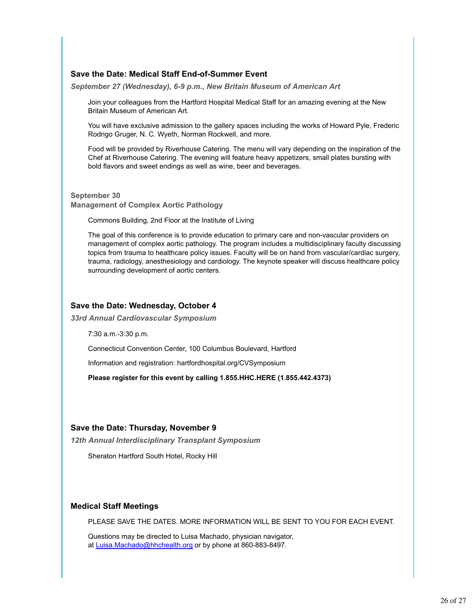#### **Save the Date: Medical Staff End-of-Summer Event**

*September 27 (Wednesday), 6-9 p.m., New Britain Museum of American Art*

Join your colleagues from the Hartford Hospital Medical Staff for an amazing evening at the New Britain Museum of American Art.

You will have exclusive admission to the gallery spaces including the works of Howard Pyle, Frederic Rodrigo Gruger, N. C. Wyeth, Norman Rockwell, and more.

Food will be provided by Riverhouse Catering. The menu will vary depending on the inspiration of the Chef at Riverhouse Catering. The evening will feature heavy appetizers, small plates bursting with bold flavors and sweet endings as well as wine, beer and beverages.

**September 30 Management of Complex Aortic Pathology**

Commons Building, 2nd Floor at the Institute of Living

The goal of this conference is to provide education to primary care and non-vascular providers on management of complex aortic pathology. The program includes a multidisciplinary faculty discussing topics from trauma to healthcare policy issues. Faculty will be on hand from vascular/cardiac surgery, trauma, radiology, anesthesiology and cardiology. The keynote speaker will discuss healthcare policy surrounding development of aortic centers.

#### **Save the Date: Wednesday, October 4**

*33rd Annual Cardiovascular Symposium*

7:30 a.m.-3:30 p.m.

Connecticut Convention Center, 100 Columbus Boulevard, Hartford

Information and registration: hartfordhospital.org/CVSymposium

**Please register for this event by calling 1.855.HHC.HERE (1.855.442.4373)**

#### **Save the Date: Thursday, November 9**

*12th Annual Interdisciplinary Transplant Symposium*

Sheraton Hartford South Hotel, Rocky Hill

#### **Medical Staff Meetings**

PLEASE SAVE THE DATES. MORE INFORMATION WILL BE SENT TO YOU FOR EACH EVENT.

Questions may be directed to Luisa Machado, physician navigator, at Luisa.Machado@hhchealth.org or by phone at 860-883-8497.